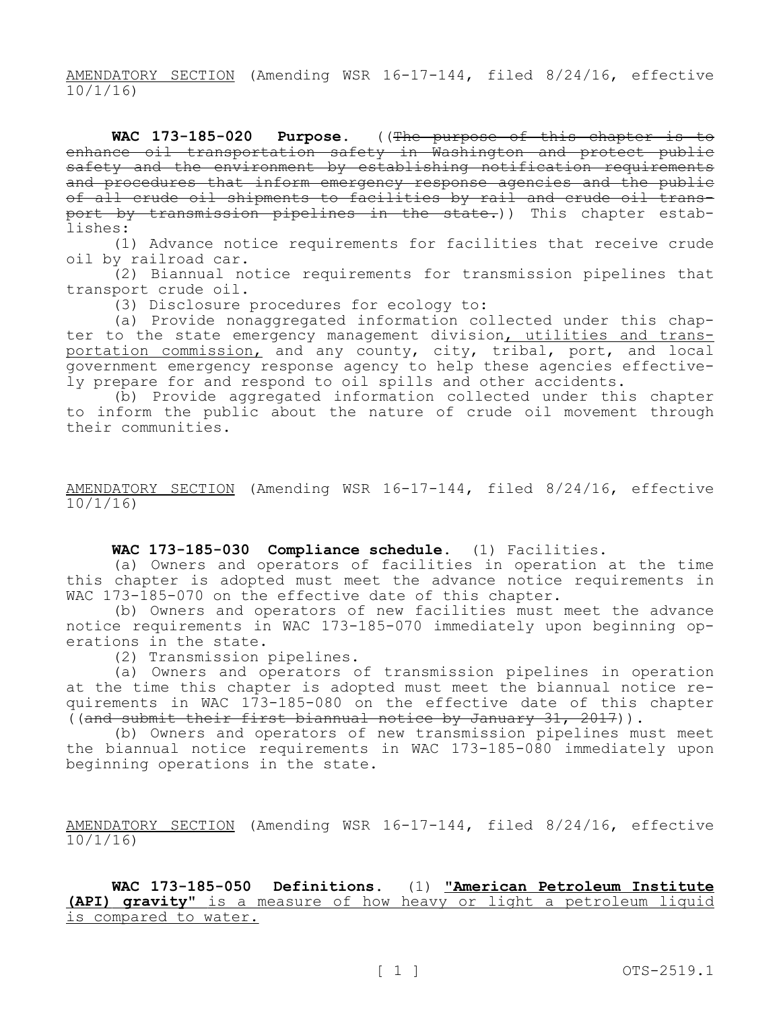AMENDATORY SECTION (Amending WSR 16-17-144, filed 8/24/16, effective 10/1/16)

WAC 173-185-020 Purpose. ((The purpose of this chapter is to enhance oil transportation safety in Washington and protect public safety and the environment by establishing notification requirements and procedures that inform emergency response agencies and the public of all crude oil shipments to facilities by rail and crude oil transport by transmission pipelines in the state.)) This chapter establishes:

(1) Advance notice requirements for facilities that receive crude oil by railroad car.

(2) Biannual notice requirements for transmission pipelines that transport crude oil.

(3) Disclosure procedures for ecology to:

(a) Provide nonaggregated information collected under this chapter to the state emergency management division, utilities and transportation commission, and any county, city, tribal, port, and local government emergency response agency to help these agencies effectively prepare for and respond to oil spills and other accidents.

(b) Provide aggregated information collected under this chapter to inform the public about the nature of crude oil movement through their communities.

AMENDATORY SECTION (Amending WSR 16-17-144, filed 8/24/16, effective 10/1/16)

## **WAC 173-185-030 Compliance schedule.** (1) Facilities.

(a) Owners and operators of facilities in operation at the time this chapter is adopted must meet the advance notice requirements in WAC 173-185-070 on the effective date of this chapter.

(b) Owners and operators of new facilities must meet the advance notice requirements in WAC 173-185-070 immediately upon beginning operations in the state.

(2) Transmission pipelines.

(a) Owners and operators of transmission pipelines in operation at the time this chapter is adopted must meet the biannual notice requirements in WAC 173-185-080 on the effective date of this chapter  $($ (and submit their first biannual notice by January 31, 2017)).

(b) Owners and operators of new transmission pipelines must meet the biannual notice requirements in WAC 173-185-080 immediately upon beginning operations in the state.

AMENDATORY SECTION (Amending WSR 16-17-144, filed 8/24/16, effective 10/1/16)

**WAC 173-185-050 Definitions.** (1) **"American Petroleum Institute (API) gravity"** is a measure of how heavy or light a petroleum liquid is compared to water.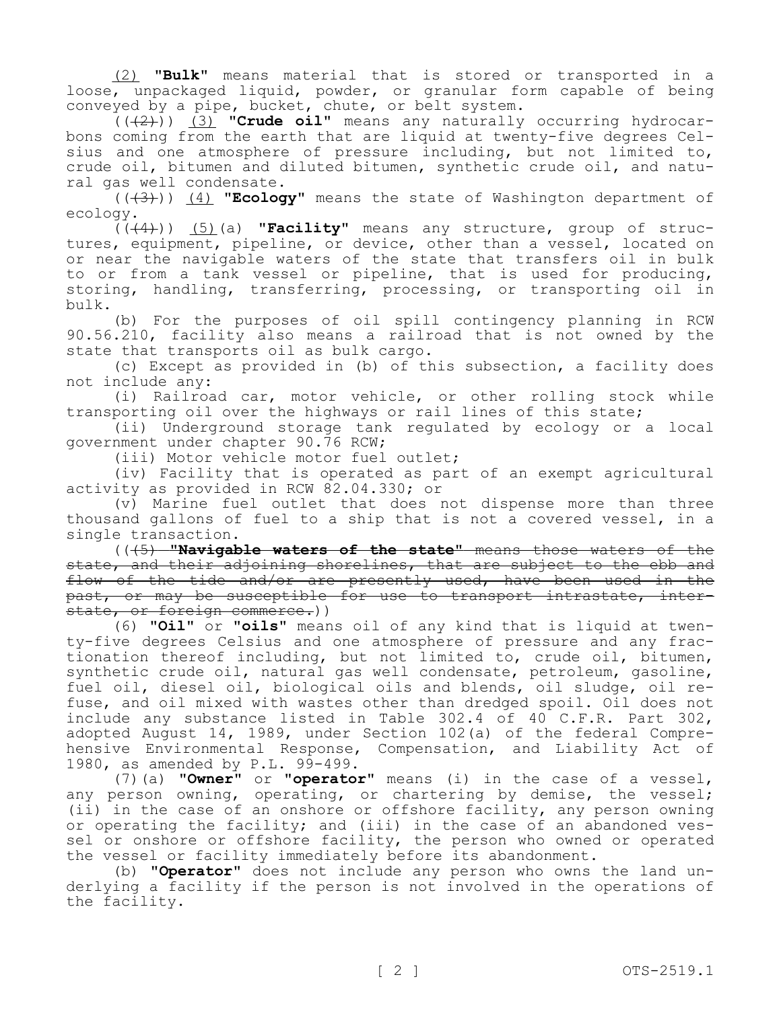(2) **"Bulk"** means material that is stored or transported in a loose, unpackaged liquid, powder, or granular form capable of being conveyed by a pipe, bucket, chute, or belt system.

(((2))) (3) **"Crude oil"** means any naturally occurring hydrocarbons coming from the earth that are liquid at twenty-five degrees Celsius and one atmosphere of pressure including, but not limited to, crude oil, bitumen and diluted bitumen, synthetic crude oil, and natural gas well condensate.

(((3))) (4) **"Ecology"** means the state of Washington department of ecology.

(((4))) (5)(a) **"Facility"** means any structure, group of structures, equipment, pipeline, or device, other than a vessel, located on or near the navigable waters of the state that transfers oil in bulk to or from a tank vessel or pipeline, that is used for producing, storing, handling, transferring, processing, or transporting oil in bulk.

(b) For the purposes of oil spill contingency planning in RCW 90.56.210, facility also means a railroad that is not owned by the state that transports oil as bulk cargo.

(c) Except as provided in (b) of this subsection, a facility does not include any:

(i) Railroad car, motor vehicle, or other rolling stock while transporting oil over the highways or rail lines of this state;

(ii) Underground storage tank regulated by ecology or a local government under chapter 90.76 RCW;

(iii) Motor vehicle motor fuel outlet;

(iv) Facility that is operated as part of an exempt agricultural activity as provided in RCW 82.04.330; or

(v) Marine fuel outlet that does not dispense more than three thousand gallons of fuel to a ship that is not a covered vessel, in a single transaction.

(((5) **"Navigable waters of the state"** means those waters of the state, and their adjoining shorelines, that are subject to the ebb and flow of the tide and/or are presently used, have been used in the past, or may be susceptible for use to transport intrastate, interstate, or foreign commerce.))

(6) **"Oil"** or **"oils"** means oil of any kind that is liquid at twenty-five degrees Celsius and one atmosphere of pressure and any fractionation thereof including, but not limited to, crude oil, bitumen, synthetic crude oil, natural gas well condensate, petroleum, gasoline, fuel oil, diesel oil, biological oils and blends, oil sludge, oil refuse, and oil mixed with wastes other than dredged spoil. Oil does not include any substance listed in Table 302.4 of 40 C.F.R. Part 302, adopted August 14, 1989, under Section 102(a) of the federal Comprehensive Environmental Response, Compensation, and Liability Act of 1980, as amended by P.L. 99-499.

(7)(a) **"Owner"** or **"operator"** means (i) in the case of a vessel, any person owning, operating, or chartering by demise, the vessel; (ii) in the case of an onshore or offshore facility, any person owning or operating the facility; and (iii) in the case of an abandoned vessel or onshore or offshore facility, the person who owned or operated the vessel or facility immediately before its abandonment.

(b) **"Operator"** does not include any person who owns the land underlying a facility if the person is not involved in the operations of the facility.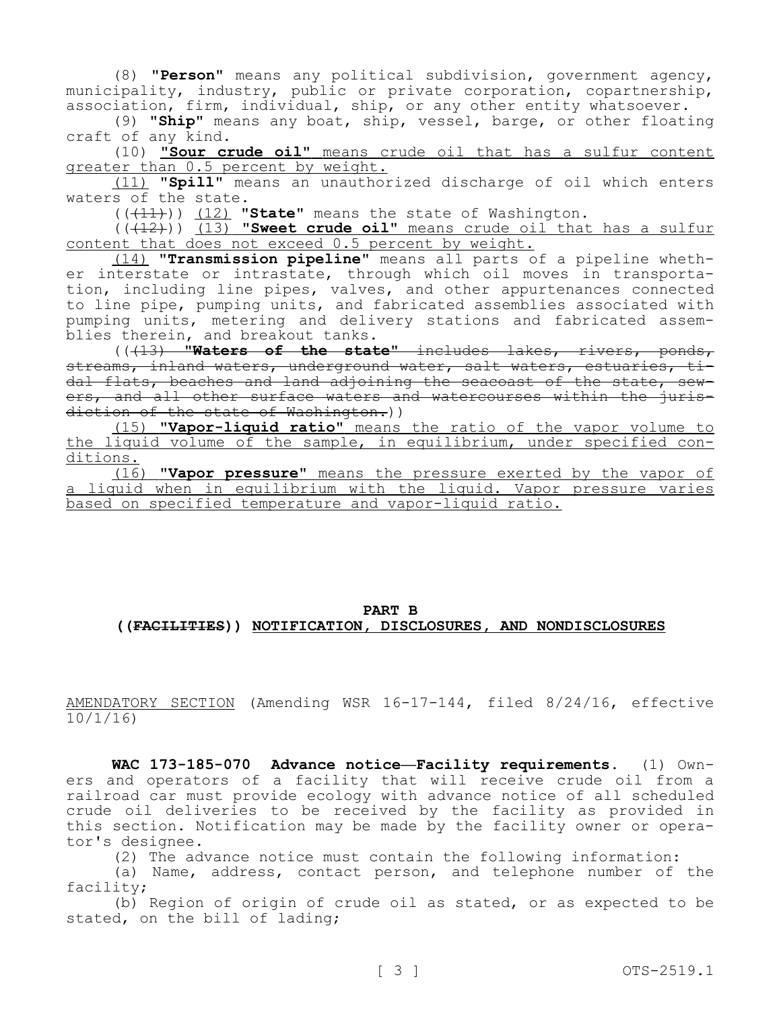(8) **"Person"** means any political subdivision, government agency, municipality, industry, public or private corporation, copartnership, association, firm, individual, ship, or any other entity whatsoever.

(9) **"Ship"** means any boat, ship, vessel, barge, or other floating craft of any kind.

(10) **"Sour crude oil"** means crude oil that has a sulfur content greater than 0.5 percent by weight.

(11) **"Spill"** means an unauthorized discharge of oil which enters waters of the state.

(((11))) (12) **"State"** means the state of Washington.

(( $(12)$ )) (13) **"Sweet crude oil"** means crude oil that has a sulfur content that does not exceed 0.5 percent by weight.

(14) **"Transmission pipeline"** means all parts of a pipeline whether interstate or intrastate, through which oil moves in transportation, including line pipes, valves, and other appurtenances connected to line pipe, pumping units, and fabricated assemblies associated with pumping units, metering and delivery stations and fabricated assemblies therein, and breakout tanks.

(((13) **"Waters of the state"** includes lakes, rivers, ponds, streams, inland waters, underground water, salt waters, estuaries, tidal flats, beaches and land adjoining the seacoast of the state, sewers, and all other surface waters and watercourses within the jurisdiction of the state of Washington.))

(15) **"Vapor-liquid ratio"** means the ratio of the vapor volume to the liquid volume of the sample, in equilibrium, under specified conditions.

(16) **"Vapor pressure"** means the pressure exerted by the vapor of a liquid when in equilibrium with the liquid. Vapor pressure varies based on specified temperature and vapor-liquid ratio.

## **PART B ((FACILITIES)) NOTIFICATION, DISCLOSURES, AND NONDISCLOSURES**

AMENDATORY SECTION (Amending WSR 16-17-144, filed 8/24/16, effective 10/1/16)

**WAC 173-185-070 Advance notice—Facility requirements.** (1) Owners and operators of a facility that will receive crude oil from a railroad car must provide ecology with advance notice of all scheduled crude oil deliveries to be received by the facility as provided in this section. Notification may be made by the facility owner or operator's designee.

(2) The advance notice must contain the following information:

(a) Name, address, contact person, and telephone number of the facility;

(b) Region of origin of crude oil as stated, or as expected to be stated, on the bill of lading;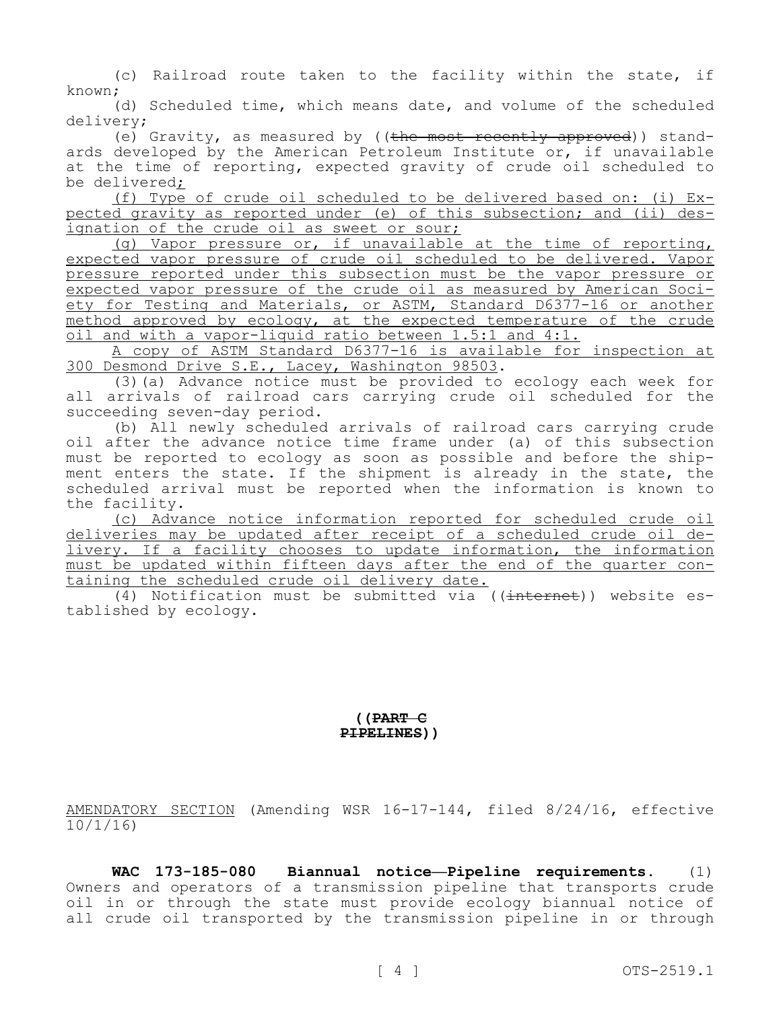(c) Railroad route taken to the facility within the state, if known;

(d) Scheduled time, which means date, and volume of the scheduled delivery;

(e) Gravity, as measured by ((the most recently approved)) standards developed by the American Petroleum Institute or, if unavailable at the time of reporting, expected gravity of crude oil scheduled to be delivered;

(f) Type of crude oil scheduled to be delivered based on: (i) Expected gravity as reported under (e) of this subsection; and (ii) designation of the crude oil as sweet or sour;

(g) Vapor pressure or, if unavailable at the time of reporting, expected vapor pressure of crude oil scheduled to be delivered. Vapor pressure reported under this subsection must be the vapor pressure or expected vapor pressure of the crude oil as measured by American Society for Testing and Materials, or ASTM, Standard D6377-16 or another method approved by ecology, at the expected temperature of the crude oil and with a vapor-liquid ratio between 1.5:1 and 4:1.

A copy of ASTM Standard D6377-16 is available for inspection at 300 Desmond Drive S.E., Lacey, Washington 98503.

(3)(a) Advance notice must be provided to ecology each week for all arrivals of railroad cars carrying crude oil scheduled for the succeeding seven-day period.

(b) All newly scheduled arrivals of railroad cars carrying crude oil after the advance notice time frame under (a) of this subsection must be reported to ecology as soon as possible and before the shipment enters the state. If the shipment is already in the state, the scheduled arrival must be reported when the information is known to the facility.

(c) Advance notice information reported for scheduled crude oil deliveries may be updated after receipt of a scheduled crude oil delivery. If a facility chooses to update information, the information must be updated within fifteen days after the end of the quarter containing the scheduled crude oil delivery date.

(4) Notification must be submitted via  $((\text{internet}))$  website established by ecology.

## **((PART C PIPELINES))**

AMENDATORY SECTION (Amending WSR 16-17-144, filed 8/24/16, effective 10/1/16)

**WAC 173-185-080 Biannual notice—Pipeline requirements.** (1) Owners and operators of a transmission pipeline that transports crude oil in or through the state must provide ecology biannual notice of all crude oil transported by the transmission pipeline in or through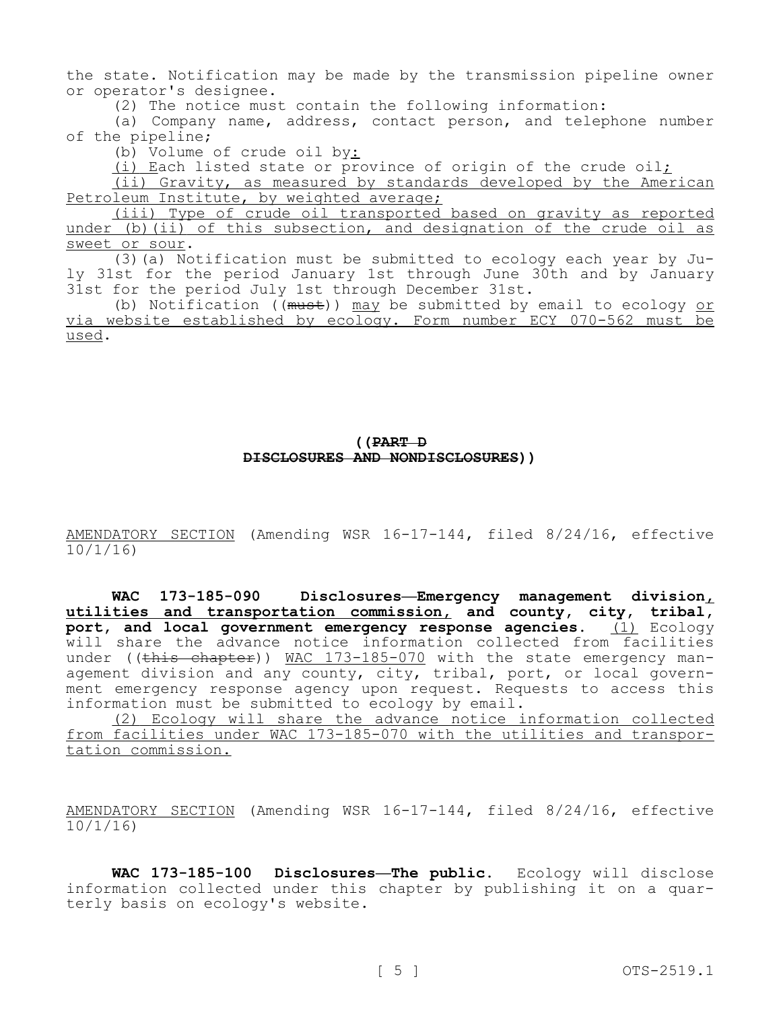the state. Notification may be made by the transmission pipeline owner or operator's designee.

(2) The notice must contain the following information:

(a) Company name, address, contact person, and telephone number of the pipeline;

(b) Volume of crude oil by:

(i) Each listed state or province of origin of the crude oil;

(ii) Gravity, as measured by standards developed by the American Petroleum Institute, by weighted average;

(iii) Type of crude oil transported based on gravity as reported under (b) (ii) of this subsection, and designation of the crude oil as sweet or sour.

(3)(a) Notification must be submitted to ecology each year by July 31st for the period January 1st through June 30th and by January 31st for the period July 1st through December 31st.

(b) Notification ((must)) may be submitted by email to ecology or via website established by ecology. Form number ECY 070-562 must be used.

## **((PART D DISCLOSURES AND NONDISCLOSURES))**

AMENDATORY SECTION (Amending WSR 16-17-144, filed 8/24/16, effective 10/1/16)

**WAC 173-185-090 Disclosures—Emergency management division, utilities and transportation commission, and county, city, tribal, port, and local government emergency response agencies.** (1) Ecology will share the advance notice information collected from facilities under ((this chapter)) MAC 173-185-070 with the state emergency management division and any county, city, tribal, port, or local government emergency response agency upon request. Requests to access this information must be submitted to ecology by email.

(2) Ecology will share the advance notice information collected from facilities under WAC 173-185-070 with the utilities and transportation commission.

AMENDATORY SECTION (Amending WSR 16-17-144, filed 8/24/16, effective 10/1/16)

**WAC 173-185-100 Disclosures—The public.** Ecology will disclose information collected under this chapter by publishing it on a quarterly basis on ecology's website.